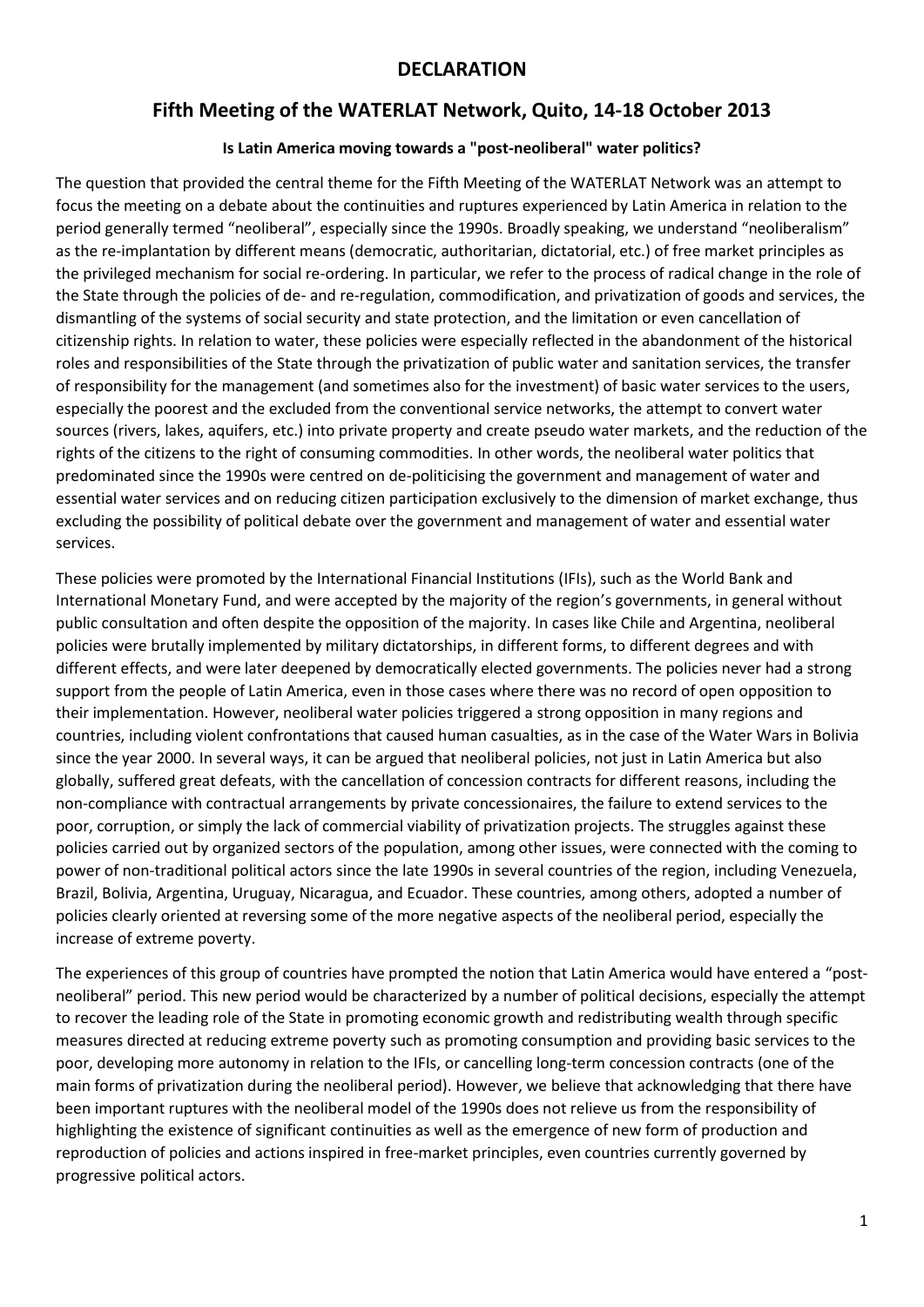### **DECLARATION**

### **Fifth Meeting of the WATERLAT Network, Quito, 14-18 October 2013**

#### **Is Latin America moving towards a "post-neoliberal" water politics?**

The question that provided the central theme for the Fifth Meeting of the WATERLAT Network was an attempt to focus the meeting on a debate about the continuities and ruptures experienced by Latin America in relation to the period generally termed "neoliberal", especially since the 1990s. Broadly speaking, we understand "neoliberalism" as the re-implantation by different means (democratic, authoritarian, dictatorial, etc.) of free market principles as the privileged mechanism for social re-ordering. In particular, we refer to the process of radical change in the role of the State through the policies of de- and re-regulation, commodification, and privatization of goods and services, the dismantling of the systems of social security and state protection, and the limitation or even cancellation of citizenship rights. In relation to water, these policies were especially reflected in the abandonment of the historical roles and responsibilities of the State through the privatization of public water and sanitation services, the transfer of responsibility for the management (and sometimes also for the investment) of basic water services to the users, especially the poorest and the excluded from the conventional service networks, the attempt to convert water sources (rivers, lakes, aquifers, etc.) into private property and create pseudo water markets, and the reduction of the rights of the citizens to the right of consuming commodities. In other words, the neoliberal water politics that predominated since the 1990s were centred on de-politicising the government and management of water and essential water services and on reducing citizen participation exclusively to the dimension of market exchange, thus excluding the possibility of political debate over the government and management of water and essential water services.

These policies were promoted by the International Financial Institutions (IFIs), such as the World Bank and International Monetary Fund, and were accepted by the majority of the region's governments, in general without public consultation and often despite the opposition of the majority. In cases like Chile and Argentina, neoliberal policies were brutally implemented by military dictatorships, in different forms, to different degrees and with different effects, and were later deepened by democratically elected governments. The policies never had a strong support from the people of Latin America, even in those cases where there was no record of open opposition to their implementation. However, neoliberal water policies triggered a strong opposition in many regions and countries, including violent confrontations that caused human casualties, as in the case of the Water Wars in Bolivia since the year 2000. In several ways, it can be argued that neoliberal policies, not just in Latin America but also globally, suffered great defeats, with the cancellation of concession contracts for different reasons, including the non-compliance with contractual arrangements by private concessionaires, the failure to extend services to the poor, corruption, or simply the lack of commercial viability of privatization projects. The struggles against these policies carried out by organized sectors of the population, among other issues, were connected with the coming to power of non-traditional political actors since the late 1990s in several countries of the region, including Venezuela, Brazil, Bolivia, Argentina, Uruguay, Nicaragua, and Ecuador. These countries, among others, adopted a number of policies clearly oriented at reversing some of the more negative aspects of the neoliberal period, especially the increase of extreme poverty.

The experiences of this group of countries have prompted the notion that Latin America would have entered a "postneoliberal" period. This new period would be characterized by a number of political decisions, especially the attempt to recover the leading role of the State in promoting economic growth and redistributing wealth through specific measures directed at reducing extreme poverty such as promoting consumption and providing basic services to the poor, developing more autonomy in relation to the IFIs, or cancelling long-term concession contracts (one of the main forms of privatization during the neoliberal period). However, we believe that acknowledging that there have been important ruptures with the neoliberal model of the 1990s does not relieve us from the responsibility of highlighting the existence of significant continuities as well as the emergence of new form of production and reproduction of policies and actions inspired in free-market principles, even countries currently governed by progressive political actors.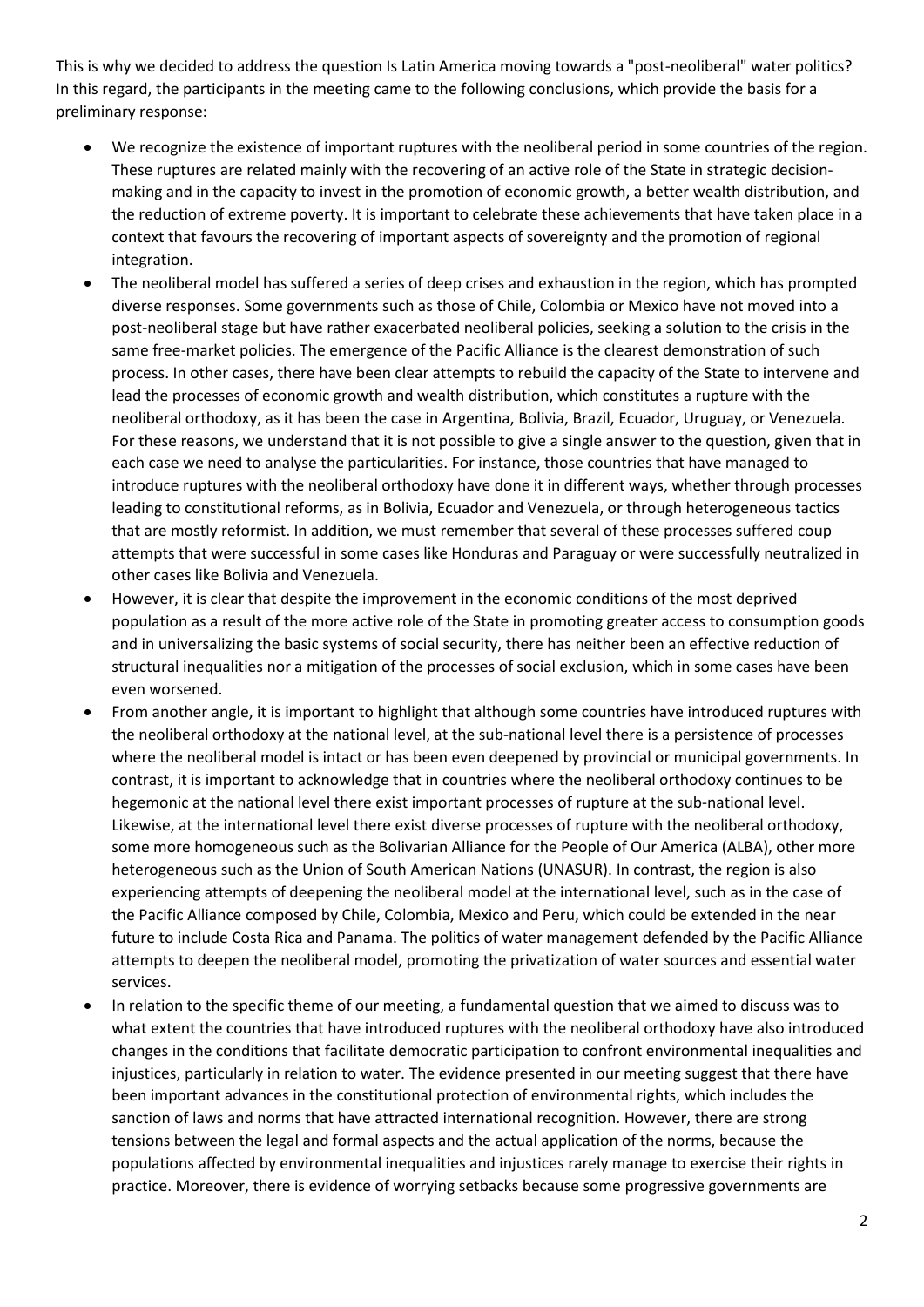This is why we decided to address the question Is Latin America moving towards a "post-neoliberal" water politics? In this regard, the participants in the meeting came to the following conclusions, which provide the basis for a preliminary response:

- We recognize the existence of important ruptures with the neoliberal period in some countries of the region. These ruptures are related mainly with the recovering of an active role of the State in strategic decisionmaking and in the capacity to invest in the promotion of economic growth, a better wealth distribution, and the reduction of extreme poverty. It is important to celebrate these achievements that have taken place in a context that favours the recovering of important aspects of sovereignty and the promotion of regional integration.
- The neoliberal model has suffered a series of deep crises and exhaustion in the region, which has prompted diverse responses. Some governments such as those of Chile, Colombia or Mexico have not moved into a post-neoliberal stage but have rather exacerbated neoliberal policies, seeking a solution to the crisis in the same free-market policies. The emergence of the Pacific Alliance is the clearest demonstration of such process. In other cases, there have been clear attempts to rebuild the capacity of the State to intervene and lead the processes of economic growth and wealth distribution, which constitutes a rupture with the neoliberal orthodoxy, as it has been the case in Argentina, Bolivia, Brazil, Ecuador, Uruguay, or Venezuela. For these reasons, we understand that it is not possible to give a single answer to the question, given that in each case we need to analyse the particularities. For instance, those countries that have managed to introduce ruptures with the neoliberal orthodoxy have done it in different ways, whether through processes leading to constitutional reforms, as in Bolivia, Ecuador and Venezuela, or through heterogeneous tactics that are mostly reformist. In addition, we must remember that several of these processes suffered coup attempts that were successful in some cases like Honduras and Paraguay or were successfully neutralized in other cases like Bolivia and Venezuela.
- However, it is clear that despite the improvement in the economic conditions of the most deprived population as a result of the more active role of the State in promoting greater access to consumption goods and in universalizing the basic systems of social security, there has neither been an effective reduction of structural inequalities nor a mitigation of the processes of social exclusion, which in some cases have been even worsened.
- From another angle, it is important to highlight that although some countries have introduced ruptures with the neoliberal orthodoxy at the national level, at the sub-national level there is a persistence of processes where the neoliberal model is intact or has been even deepened by provincial or municipal governments. In contrast, it is important to acknowledge that in countries where the neoliberal orthodoxy continues to be hegemonic at the national level there exist important processes of rupture at the sub-national level. Likewise, at the international level there exist diverse processes of rupture with the neoliberal orthodoxy, some more homogeneous such as the Bolivarian Alliance for the People of Our America (ALBA), other more heterogeneous such as the Union of South American Nations (UNASUR). In contrast, the region is also experiencing attempts of deepening the neoliberal model at the international level, such as in the case of the Pacific Alliance composed by Chile, Colombia, Mexico and Peru, which could be extended in the near future to include Costa Rica and Panama. The politics of water management defended by the Pacific Alliance attempts to deepen the neoliberal model, promoting the privatization of water sources and essential water services.
- In relation to the specific theme of our meeting, a fundamental question that we aimed to discuss was to what extent the countries that have introduced ruptures with the neoliberal orthodoxy have also introduced changes in the conditions that facilitate democratic participation to confront environmental inequalities and injustices, particularly in relation to water. The evidence presented in our meeting suggest that there have been important advances in the constitutional protection of environmental rights, which includes the sanction of laws and norms that have attracted international recognition. However, there are strong tensions between the legal and formal aspects and the actual application of the norms, because the populations affected by environmental inequalities and injustices rarely manage to exercise their rights in practice. Moreover, there is evidence of worrying setbacks because some progressive governments are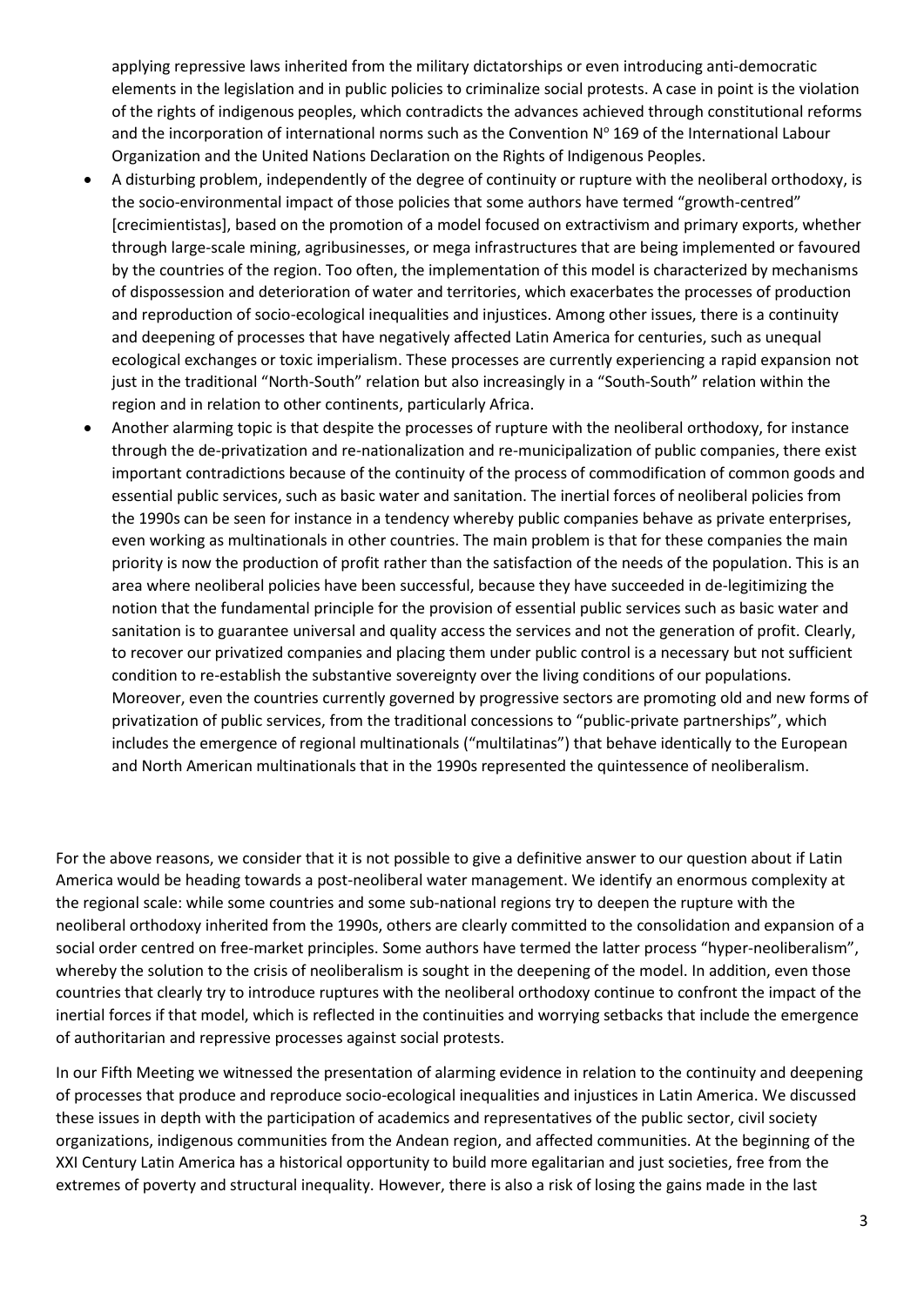applying repressive laws inherited from the military dictatorships or even introducing anti-democratic elements in the legislation and in public policies to criminalize social protests. A case in point is the violation of the rights of indigenous peoples, which contradicts the advances achieved through constitutional reforms and the incorporation of international norms such as the Convention Nº 169 of the International Labour Organization and the United Nations Declaration on the Rights of Indigenous Peoples.

- A disturbing problem, independently of the degree of continuity or rupture with the neoliberal orthodoxy, is the socio-environmental impact of those policies that some authors have termed "growth-centred" [crecimientistas], based on the promotion of a model focused on extractivism and primary exports, whether through large-scale mining, agribusinesses, or mega infrastructures that are being implemented or favoured by the countries of the region. Too often, the implementation of this model is characterized by mechanisms of dispossession and deterioration of water and territories, which exacerbates the processes of production and reproduction of socio-ecological inequalities and injustices. Among other issues, there is a continuity and deepening of processes that have negatively affected Latin America for centuries, such as unequal ecological exchanges or toxic imperialism. These processes are currently experiencing a rapid expansion not just in the traditional "North-South" relation but also increasingly in a "South-South" relation within the region and in relation to other continents, particularly Africa.
- Another alarming topic is that despite the processes of rupture with the neoliberal orthodoxy, for instance through the de-privatization and re-nationalization and re-municipalization of public companies, there exist important contradictions because of the continuity of the process of commodification of common goods and essential public services, such as basic water and sanitation. The inertial forces of neoliberal policies from the 1990s can be seen for instance in a tendency whereby public companies behave as private enterprises, even working as multinationals in other countries. The main problem is that for these companies the main priority is now the production of profit rather than the satisfaction of the needs of the population. This is an area where neoliberal policies have been successful, because they have succeeded in de-legitimizing the notion that the fundamental principle for the provision of essential public services such as basic water and sanitation is to guarantee universal and quality access the services and not the generation of profit. Clearly, to recover our privatized companies and placing them under public control is a necessary but not sufficient condition to re-establish the substantive sovereignty over the living conditions of our populations. Moreover, even the countries currently governed by progressive sectors are promoting old and new forms of privatization of public services, from the traditional concessions to "public-private partnerships", which includes the emergence of regional multinationals ("multilatinas") that behave identically to the European and North American multinationals that in the 1990s represented the quintessence of neoliberalism.

For the above reasons, we consider that it is not possible to give a definitive answer to our question about if Latin America would be heading towards a post-neoliberal water management. We identify an enormous complexity at the regional scale: while some countries and some sub-national regions try to deepen the rupture with the neoliberal orthodoxy inherited from the 1990s, others are clearly committed to the consolidation and expansion of a social order centred on free-market principles. Some authors have termed the latter process "hyper-neoliberalism", whereby the solution to the crisis of neoliberalism is sought in the deepening of the model. In addition, even those countries that clearly try to introduce ruptures with the neoliberal orthodoxy continue to confront the impact of the inertial forces if that model, which is reflected in the continuities and worrying setbacks that include the emergence of authoritarian and repressive processes against social protests.

In our Fifth Meeting we witnessed the presentation of alarming evidence in relation to the continuity and deepening of processes that produce and reproduce socio-ecological inequalities and injustices in Latin America. We discussed these issues in depth with the participation of academics and representatives of the public sector, civil society organizations, indigenous communities from the Andean region, and affected communities. At the beginning of the XXI Century Latin America has a historical opportunity to build more egalitarian and just societies, free from the extremes of poverty and structural inequality. However, there is also a risk of losing the gains made in the last